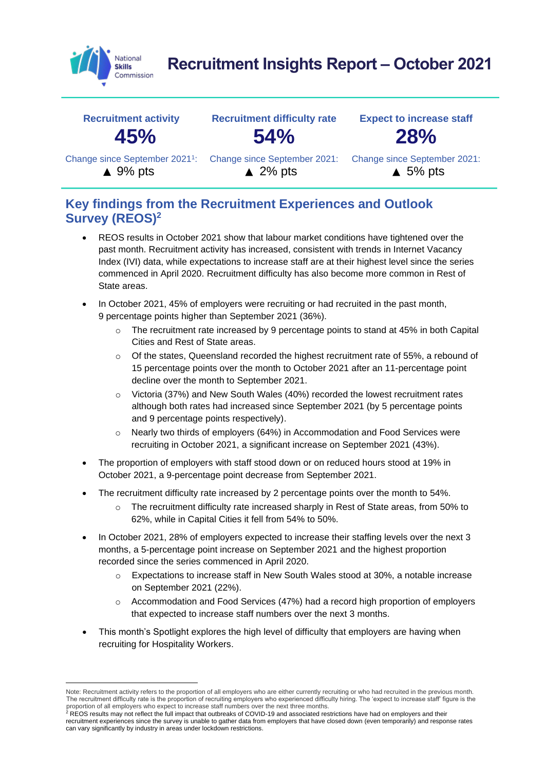

# **Recruitment Insights Report – October 2021**

| <b>Recruitment activity</b>                | <b>Recruitment difficulty rate</b> | <b>Expect to increase staff</b> |
|--------------------------------------------|------------------------------------|---------------------------------|
| 45%                                        | 54%                                | <b>28%</b>                      |
| Change since September 2021 <sup>1</sup> : | Change since September 2021:       | Change since September 2021:    |
| $\triangle$ 9% pts                         | $\triangle$ 2% pts                 | $\triangle$ 5% pts              |

### **Key findings from the Recruitment Experiences and Outlook Survey (REOS)<sup>2</sup>**

- REOS results in October 2021 show that labour market conditions have tightened over the past month. Recruitment activity has increased, consistent with trends in Internet Vacancy Index (IVI) data, while expectations to increase staff are at their highest level since the series commenced in April 2020. Recruitment difficulty has also become more common in Rest of State areas.
- In October 2021, 45% of employers were recruiting or had recruited in the past month, 9 percentage points higher than September 2021 (36%).
	- $\circ$  The recruitment rate increased by 9 percentage points to stand at 45% in both Capital Cities and Rest of State areas.
	- $\circ$  Of the states, Queensland recorded the highest recruitment rate of 55%, a rebound of 15 percentage points over the month to October 2021 after an 11-percentage point decline over the month to September 2021.
	- o Victoria (37%) and New South Wales (40%) recorded the lowest recruitment rates although both rates had increased since September 2021 (by 5 percentage points and 9 percentage points respectively).
	- o Nearly two thirds of employers (64%) in Accommodation and Food Services were recruiting in October 2021, a significant increase on September 2021 (43%).
- The proportion of employers with staff stood down or on reduced hours stood at 19% in October 2021, a 9-percentage point decrease from September 2021.
- The recruitment difficulty rate increased by 2 percentage points over the month to 54%.
	- $\circ$  The recruitment difficulty rate increased sharply in Rest of State areas, from 50% to 62%, while in Capital Cities it fell from 54% to 50%.
- In October 2021, 28% of employers expected to increase their staffing levels over the next 3 months, a 5-percentage point increase on September 2021 and the highest proportion recorded since the series commenced in April 2020.
	- $\circ$  Expectations to increase staff in New South Wales stood at 30%, a notable increase on September 2021 (22%).
	- $\circ$  Accommodation and Food Services (47%) had a record high proportion of employers that expected to increase staff numbers over the next 3 months.
- This month's Spotlight explores the high level of difficulty that employers are having when recruiting for Hospitality Workers.

Note: Recruitment activity refers to the proportion of all employers who are either currently recruiting or who had recruited in the previous month. The recruitment difficulty rate is the proportion of recruiting employers who experienced difficulty hiring. The 'expect to increase staff' figure is the proportion of all employers who expect to increase staff numbers over the next three months.<br><sup>2</sup> REOS results may not reflect the full impact that outbreaks of COVID-19 and associated restrictions have had on employers and

recruitment experiences since the survey is unable to gather data from employers that have closed down (even temporarily) and response rates can vary significantly by industry in areas under lockdown restrictions.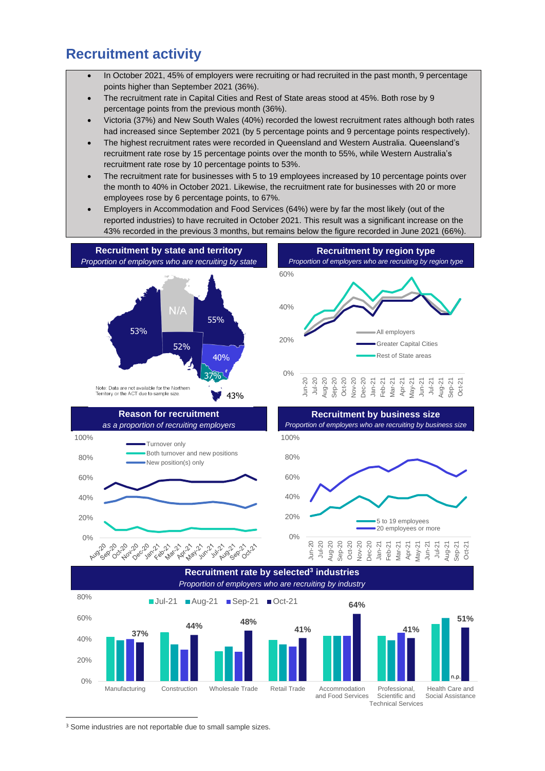### **Recruitment activity**

- In October 2021, 45% of employers were recruiting or had recruited in the past month, 9 percentage points higher than September 2021 (36%).
- The recruitment rate in Capital Cities and Rest of State areas stood at 45%. Both rose by 9 percentage points from the previous month (36%).
- Victoria (37%) and New South Wales (40%) recorded the lowest recruitment rates although both rates had increased since September 2021 (by 5 percentage points and 9 percentage points respectively).
- The highest recruitment rates were recorded in Queensland and Western Australia. Queensland's recruitment rate rose by 15 percentage points over the month to 55%, while Western Australia's recruitment rate rose by 10 percentage points to 53%.
- The recruitment rate for businesses with 5 to 19 employees increased by 10 percentage points over the month to 40% in October 2021. Likewise, the recruitment rate for businesses with 20 or more employees rose by 6 percentage points, to 67%.
- Employers in Accommodation and Food Services (64%) were by far the most likely (out of the reported industries) to have recruited in October 2021. This result was a significant increase on the 43% recorded in the previous 3 months, but remains below the figure recorded in June 2021 (66%).



Manufacturing Construction Wholesale Trade Retail Trade Accommodation

and Food Services

Professional, Scientific and Technical Services

Health Care and Social Assistance

n.p.

 $0%$ 

20%

40%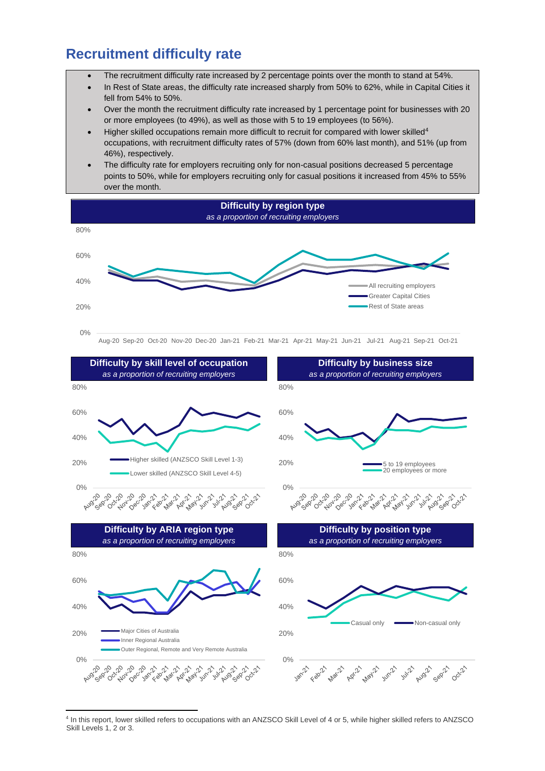### **Recruitment difficulty rate**

- The recruitment difficulty rate increased by 2 percentage points over the month to stand at 54%.
- In Rest of State areas, the difficulty rate increased sharply from 50% to 62%, while in Capital Cities it fell from 54% to 50%.
- Over the month the recruitment difficulty rate increased by 1 percentage point for businesses with 20 or more employees (to 49%), as well as those with 5 to 19 employees (to 56%).
- Higher skilled occupations remain more difficult to recruit for compared with lower skilled<sup>4</sup> occupations, with recruitment difficulty rates of 57% (down from 60% last month), and 51% (up from 46%), respectively.
- The difficulty rate for employers recruiting only for non-casual positions decreased 5 percentage points to 50%, while for employers recruiting only for casual positions it increased from 45% to 55% over the month.



<sup>4</sup> In this report, lower skilled refers to occupations with an ANZSCO Skill Level of 4 or 5, while higher skilled refers to ANZSCO Skill Levels 1, 2 or 3.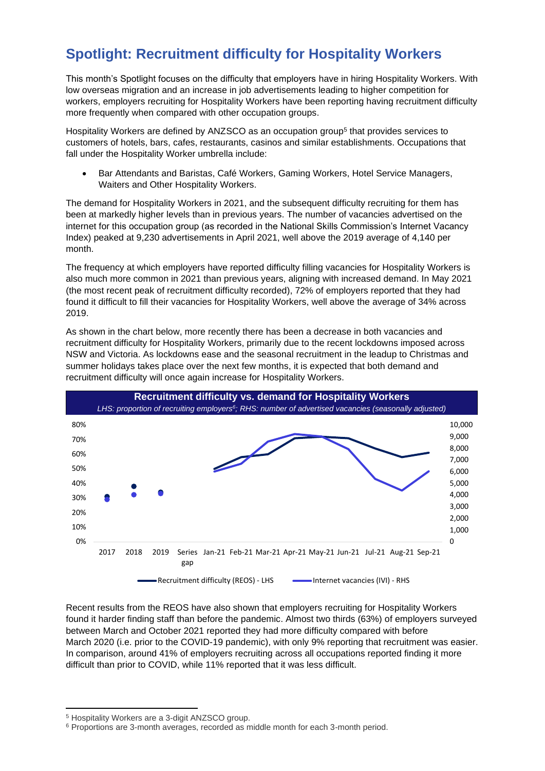## **Spotlight: Recruitment difficulty for Hospitality Workers**

This month's Spotlight focuses on the difficulty that employers have in hiring Hospitality Workers. With low overseas migration and an increase in job advertisements leading to higher competition for workers, employers recruiting for Hospitality Workers have been reporting having recruitment difficulty more frequently when compared with other occupation groups.

Hospitality Workers are defined by ANZSCO as an occupation group<sup>5</sup> that provides services to customers of hotels, bars, cafes, restaurants, casinos and similar establishments. Occupations that fall under the Hospitality Worker umbrella include:

• Bar Attendants and Baristas, Café Workers, Gaming Workers, Hotel Service Managers, Waiters and Other Hospitality Workers.

The demand for Hospitality Workers in 2021, and the subsequent difficulty recruiting for them has been at markedly higher levels than in previous years. The number of vacancies advertised on the internet for this occupation group (as recorded in the National Skills Commission's Internet Vacancy Index) peaked at 9,230 advertisements in April 2021, well above the 2019 average of 4,140 per month.

The frequency at which employers have reported difficulty filling vacancies for Hospitality Workers is also much more common in 2021 than previous years, aligning with increased demand. In May 2021 (the most recent peak of recruitment difficulty recorded), 72% of employers reported that they had found it difficult to fill their vacancies for Hospitality Workers, well above the average of 34% across 2019.

As shown in the chart below, more recently there has been a decrease in both vacancies and recruitment difficulty for Hospitality Workers, primarily due to the recent lockdowns imposed across NSW and Victoria. As lockdowns ease and the seasonal recruitment in the leadup to Christmas and summer holidays takes place over the next few months, it is expected that both demand and recruitment difficulty will once again increase for Hospitality Workers.



Recent results from the REOS have also shown that employers recruiting for Hospitality Workers found it harder finding staff than before the pandemic. Almost two thirds (63%) of employers surveyed between March and October 2021 reported they had more difficulty compared with before March 2020 (i.e. prior to the COVID-19 pandemic), with only 9% reporting that recruitment was easier. In comparison, around 41% of employers recruiting across all occupations reported finding it more difficult than prior to COVID, while 11% reported that it was less difficult.

<sup>5</sup> Hospitality Workers are a 3-digit ANZSCO group.

<sup>6</sup> Proportions are 3-month averages, recorded as middle month for each 3-month period.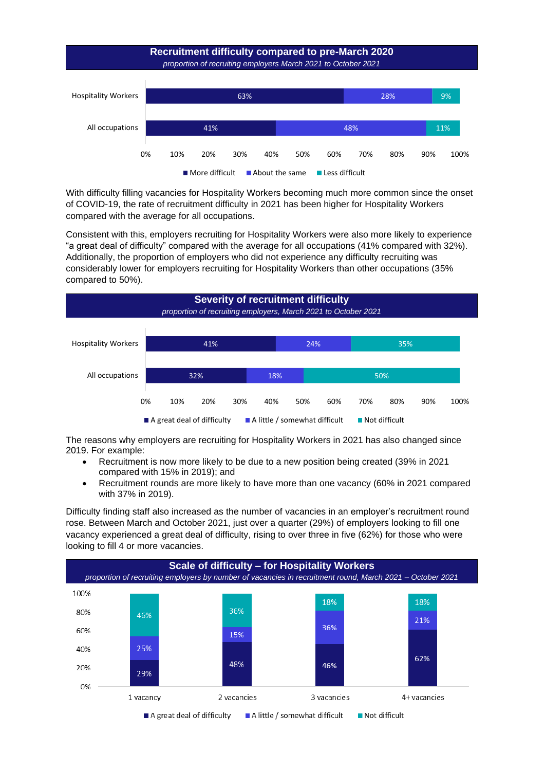

With difficulty filling vacancies for Hospitality Workers becoming much more common since the onset of COVID-19, the rate of recruitment difficulty in 2021 has been higher for Hospitality Workers compared with the average for all occupations.

Consistent with this, employers recruiting for Hospitality Workers were also more likely to experience "a great deal of difficulty" compared with the average for all occupations (41% compared with 32%). Additionally, the proportion of employers who did not experience any difficulty recruiting was considerably lower for employers recruiting for Hospitality Workers than other occupations (35% compared to 50%).



The reasons why employers are recruiting for Hospitality Workers in 2021 has also changed since 2019. For example:

- Recruitment is now more likely to be due to a new position being created (39% in 2021 compared with 15% in 2019); and
- Recruitment rounds are more likely to have more than one vacancy (60% in 2021 compared with 37% in 2019).

Difficulty finding staff also increased as the number of vacancies in an employer's recruitment round rose. Between March and October 2021, just over a quarter (29%) of employers looking to fill one vacancy experienced a great deal of difficulty, rising to over three in five (62%) for those who were looking to fill 4 or more vacancies.

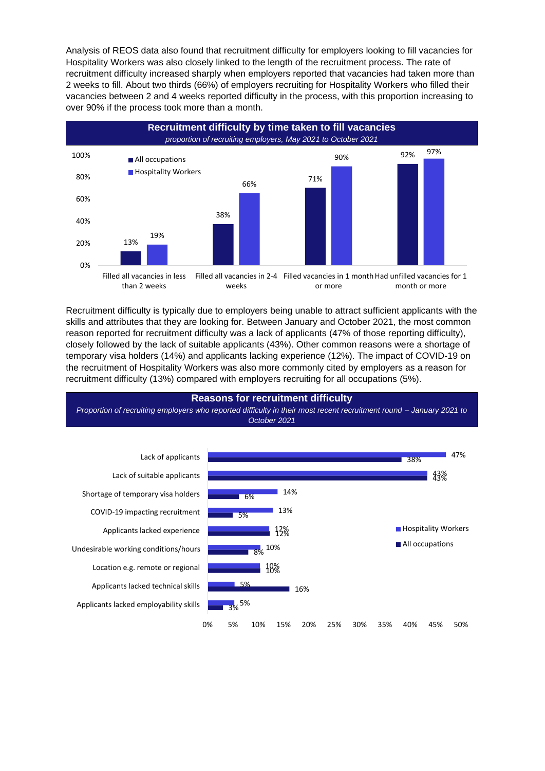Analysis of REOS data also found that recruitment difficulty for employers looking to fill vacancies for Hospitality Workers was also closely linked to the length of the recruitment process. The rate of recruitment difficulty increased sharply when employers reported that vacancies had taken more than 2 weeks to fill. About two thirds (66%) of employers recruiting for Hospitality Workers who filled their vacancies between 2 and 4 weeks reported difficulty in the process, with this proportion increasing to over 90% if the process took more than a month.



Recruitment difficulty is typically due to employers being unable to attract sufficient applicants with the skills and attributes that they are looking for. Between January and October 2021, the most common reason reported for recruitment difficulty was a lack of applicants (47% of those reporting difficulty), closely followed by the lack of suitable applicants (43%). Other common reasons were a shortage of temporary visa holders (14%) and applicants lacking experience (12%). The impact of COVID-19 on the recruitment of Hospitality Workers was also more commonly cited by employers as a reason for recruitment difficulty (13%) compared with employers recruiting for all occupations (5%).

#### **Reasons for recruitment difficulty**

*Proportion of recruiting employers who reported difficulty in their most recent recruitment round – January 2021 to October 2021*

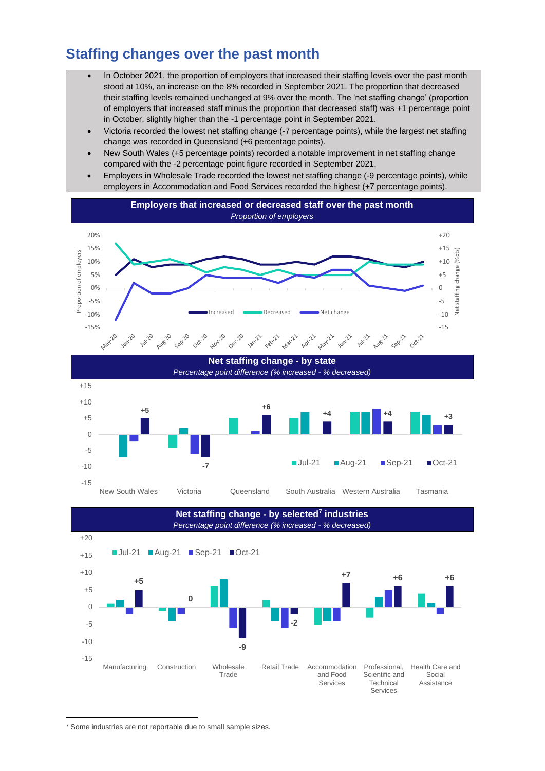### **Staffing changes over the past month**

- In October 2021, the proportion of employers that increased their staffing levels over the past month stood at 10%, an increase on the 8% recorded in September 2021. The proportion that decreased their staffing levels remained unchanged at 9% over the month. The 'net staffing change' (proportion of employers that increased staff minus the proportion that decreased staff) was +1 percentage point in October, slightly higher than the -1 percentage point in September 2021.
- Victoria recorded the lowest net staffing change (-7 percentage points), while the largest net staffing change was recorded in Queensland (+6 percentage points).
- New South Wales (+5 percentage points) recorded a notable improvement in net staffing change compared with the -2 percentage point figure recorded in September 2021.
- Employers in Wholesale Trade recorded the lowest net staffing change (-9 percentage points), while employers in Accommodation and Food Services recorded the highest (+7 percentage points).





<sup>7</sup> Some industries are not reportable due to small sample sizes.

 $-10$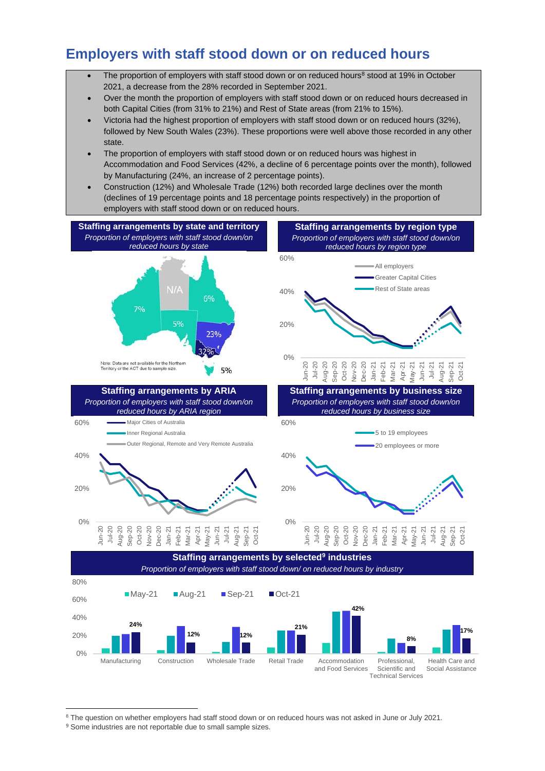### **Employers with staff stood down or on reduced hours**



and Food Services

Scientific and Technical Services Social Assistance

<sup>&</sup>lt;sup>8</sup> The question on whether employers had staff stood down or on reduced hours was not asked in June or July 2021.

<sup>&</sup>lt;sup>9</sup> Some industries are not reportable due to small sample sizes.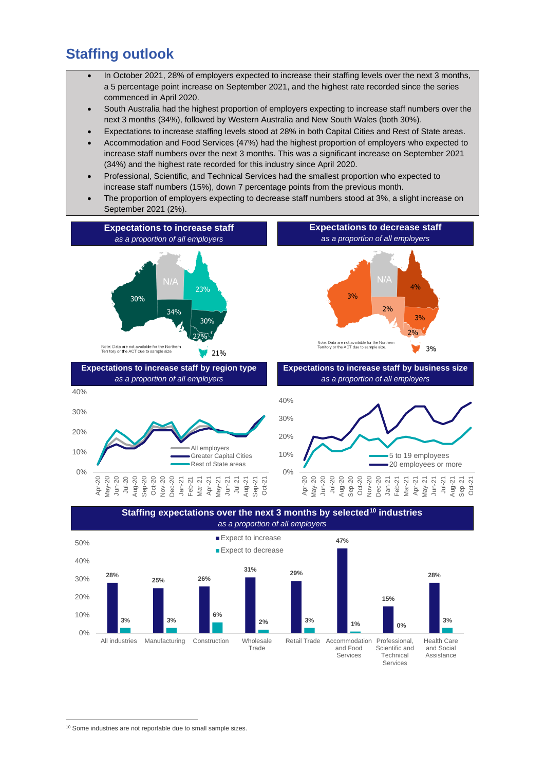### **Staffing outlook**

- In October 2021, 28% of employers expected to increase their staffing levels over the next 3 months, a 5 percentage point increase on September 2021, and the highest rate recorded since the series commenced in April 2020.
- South Australia had the highest proportion of employers expecting to increase staff numbers over the next 3 months (34%), followed by Western Australia and New South Wales (both 30%).
- Expectations to increase staffing levels stood at 28% in both Capital Cities and Rest of State areas.
- Accommodation and Food Services (47%) had the highest proportion of employers who expected to increase staff numbers over the next 3 months. This was a significant increase on September 2021 (34%) and the highest rate recorded for this industry since April 2020.
- Professional, Scientific, and Technical Services had the smallest proportion who expected to increase staff numbers (15%), down 7 percentage points from the previous month.
- The proportion of employers expecting to decrease staff numbers stood at 3%, a slight increase on September 2021 (2%).





<sup>&</sup>lt;sup>10</sup> Some industries are not reportable due to small sample sizes.